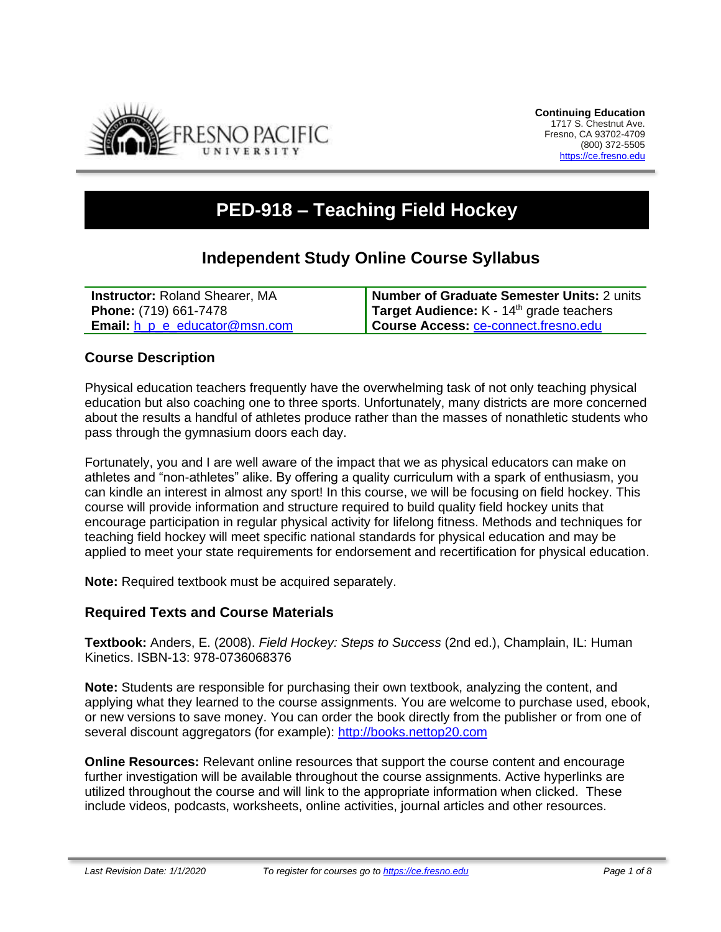

# **PED-918 – Teaching Field Hockey**

# **Independent Study Online Course Syllabus**

| <b>Instructor: Roland Shearer, MA</b>      | Number of Graduate Semester Units: 2 units |
|--------------------------------------------|--------------------------------------------|
| <b>Phone:</b> (719) 661-7478               | Target Audience: $K - 14th$ grade teachers |
| <b>Email:</b> $h$ $p$ $e$ educator@msn.com | Course Access: ce-connect.fresno.edu       |

# **Course Description**

Physical education teachers frequently have the overwhelming task of not only teaching physical education but also coaching one to three sports. Unfortunately, many districts are more concerned about the results a handful of athletes produce rather than the masses of nonathletic students who pass through the gymnasium doors each day.

Fortunately, you and I are well aware of the impact that we as physical educators can make on athletes and "non-athletes" alike. By offering a quality curriculum with a spark of enthusiasm, you can kindle an interest in almost any sport! In this course, we will be focusing on field hockey. This course will provide information and structure required to build quality field hockey units that encourage participation in regular physical activity for lifelong fitness. Methods and techniques for teaching field hockey will meet specific national standards for physical education and may be applied to meet your state requirements for endorsement and recertification for physical education.

**Note:** Required textbook must be acquired separately.

#### **Required Texts and Course Materials**

**Textbook:** Anders, E. (2008). *Field Hockey: Steps to Success* (2nd ed.), Champlain, IL: Human Kinetics. ISBN-13: 978-0736068376

**Note:** Students are responsible for purchasing their own textbook, analyzing the content, and applying what they learned to the course assignments. You are welcome to purchase used, ebook, or new versions to save money. You can order the book directly from the publisher or from one of several discount aggregators (for example): [http://books.nettop20.com](http://books.nettop20.com/)

**Online Resources:** Relevant online resources that support the course content and encourage further investigation will be available throughout the course assignments. Active hyperlinks are utilized throughout the course and will link to the appropriate information when clicked. These include videos, podcasts, worksheets, online activities, journal articles and other resources.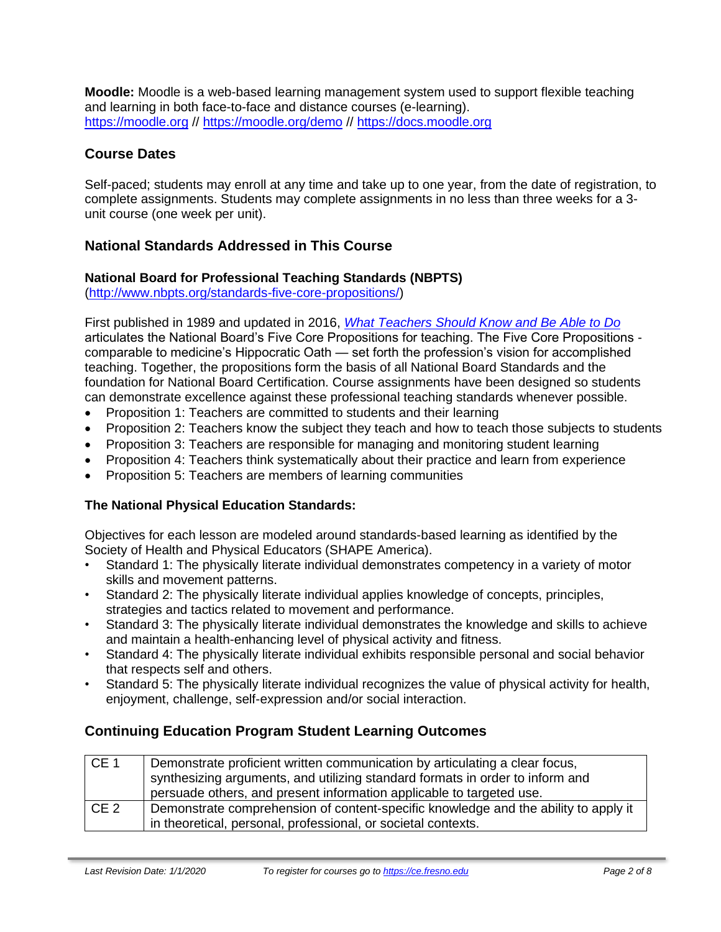**Moodle:** Moodle is a web-based learning management system used to support flexible teaching and learning in both face-to-face and distance courses (e-learning). [https://moodle.org](https://moodle.org/) // <https://moodle.org/demo> // [https://docs.moodle.org](https://docs.moodle.org/)

# **Course Dates**

Self-paced; students may enroll at any time and take up to one year, from the date of registration, to complete assignments. Students may complete assignments in no less than three weeks for a 3 unit course (one week per unit).

# **National Standards Addressed in This Course**

#### **National Board for Professional Teaching Standards (NBPTS)**

[\(http://www.nbpts.org/standards-five-core-propositions/\)](http://www.nbpts.org/standards-five-core-propositions/)

First published in 1989 and updated in 2016, *[What Teachers Should Know and Be Able to Do](http://www.accomplishedteacher.org/)* articulates the National Board's Five Core Propositions for teaching. The Five Core Propositions comparable to medicine's Hippocratic Oath — set forth the profession's vision for accomplished teaching. Together, the propositions form the basis of all National Board Standards and the foundation for National Board Certification. Course assignments have been designed so students can demonstrate excellence against these professional teaching standards whenever possible.

- Proposition 1: Teachers are committed to students and their learning
- Proposition 2: Teachers know the subject they teach and how to teach those subjects to students
- Proposition 3: Teachers are responsible for managing and monitoring student learning
- Proposition 4: Teachers think systematically about their practice and learn from experience
- Proposition 5: Teachers are members of learning communities

# **The National Physical Education Standards:**

Objectives for each lesson are modeled around standards-based learning as identified by the Society of Health and Physical Educators (SHAPE America).

- Standard 1: The physically literate individual demonstrates competency in a variety of motor skills and movement patterns.
- Standard 2: The physically literate individual applies knowledge of concepts, principles, strategies and tactics related to movement and performance.
- Standard 3: The physically literate individual demonstrates the knowledge and skills to achieve and maintain a health-enhancing level of physical activity and fitness.
- Standard 4: The physically literate individual exhibits responsible personal and social behavior that respects self and others.
- Standard 5: The physically literate individual recognizes the value of physical activity for health, enjoyment, challenge, self-expression and/or social interaction.

# **Continuing Education Program Student Learning Outcomes**

| CE 1            | Demonstrate proficient written communication by articulating a clear focus,         |  |  |
|-----------------|-------------------------------------------------------------------------------------|--|--|
|                 | synthesizing arguments, and utilizing standard formats in order to inform and       |  |  |
|                 | persuade others, and present information applicable to targeted use.                |  |  |
| CE <sub>2</sub> | Demonstrate comprehension of content-specific knowledge and the ability to apply it |  |  |
|                 | in theoretical, personal, professional, or societal contexts.                       |  |  |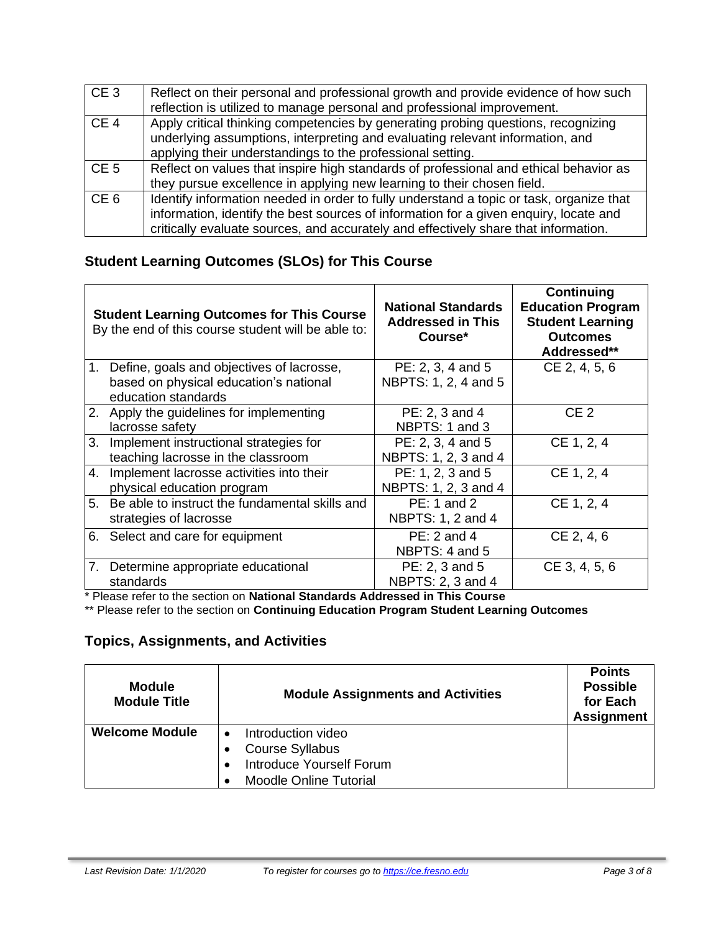| CE <sub>3</sub> | Reflect on their personal and professional growth and provide evidence of how such<br>reflection is utilized to manage personal and professional improvement.                                                                                                           |
|-----------------|-------------------------------------------------------------------------------------------------------------------------------------------------------------------------------------------------------------------------------------------------------------------------|
| CE <sub>4</sub> | Apply critical thinking competencies by generating probing questions, recognizing<br>underlying assumptions, interpreting and evaluating relevant information, and<br>applying their understandings to the professional setting.                                        |
| CE <sub>5</sub> | Reflect on values that inspire high standards of professional and ethical behavior as<br>they pursue excellence in applying new learning to their chosen field.                                                                                                         |
| CE <sub>6</sub> | Identify information needed in order to fully understand a topic or task, organize that<br>information, identify the best sources of information for a given enquiry, locate and<br>critically evaluate sources, and accurately and effectively share that information. |

# **Student Learning Outcomes (SLOs) for This Course**

|                | <b>Student Learning Outcomes for This Course</b><br>By the end of this course student will be able to:        | <b>National Standards</b><br><b>Addressed in This</b><br>Course* | <b>Continuing</b><br><b>Education Program</b><br><b>Student Learning</b><br><b>Outcomes</b><br>Addressed** |
|----------------|---------------------------------------------------------------------------------------------------------------|------------------------------------------------------------------|------------------------------------------------------------------------------------------------------------|
|                | 1. Define, goals and objectives of lacrosse,<br>based on physical education's national<br>education standards | PE: 2, 3, 4 and 5<br>NBPTS: 1, 2, 4 and 5                        | CE 2, 4, 5, 6                                                                                              |
|                | 2. Apply the guidelines for implementing<br>lacrosse safety                                                   | PE: 2, 3 and 4<br>NBPTS: 1 and 3                                 | CE <sub>2</sub>                                                                                            |
| 3 <sub>1</sub> | Implement instructional strategies for<br>teaching lacrosse in the classroom                                  | PE: 2, 3, 4 and 5<br>NBPTS: 1, 2, 3 and 4                        | CE 1, 2, 4                                                                                                 |
| 4.             | Implement lacrosse activities into their<br>physical education program                                        | PE: 1, 2, 3 and 5<br>NBPTS: 1, 2, 3 and 4                        | CE 1, 2, 4                                                                                                 |
|                | 5. Be able to instruct the fundamental skills and<br>strategies of lacrosse                                   | PE: 1 and 2<br>NBPTS: 1, 2 and 4                                 | CE 1, 2, 4                                                                                                 |
|                | 6. Select and care for equipment                                                                              | $PE: 2$ and 4<br>NBPTS: 4 and 5                                  | CE 2, 4, 6                                                                                                 |
| 7.             | Determine appropriate educational<br>standards                                                                | PE: 2, 3 and 5<br>NBPTS: 2, 3 and 4                              | CE 3, 4, 5, 6                                                                                              |

\* Please refer to the section on **National Standards Addressed in This Course**

\*\* Please refer to the section on **Continuing Education Program Student Learning Outcomes**

# **Topics, Assignments, and Activities**

| <b>Module</b><br><b>Module Title</b> | <b>Module Assignments and Activities</b>                                                                         | <b>Points</b><br><b>Possible</b><br>for Each<br><b>Assignment</b> |
|--------------------------------------|------------------------------------------------------------------------------------------------------------------|-------------------------------------------------------------------|
| <b>Welcome Module</b>                | Introduction video<br><b>Course Syllabus</b><br><b>Introduce Yourself Forum</b><br><b>Moodle Online Tutorial</b> |                                                                   |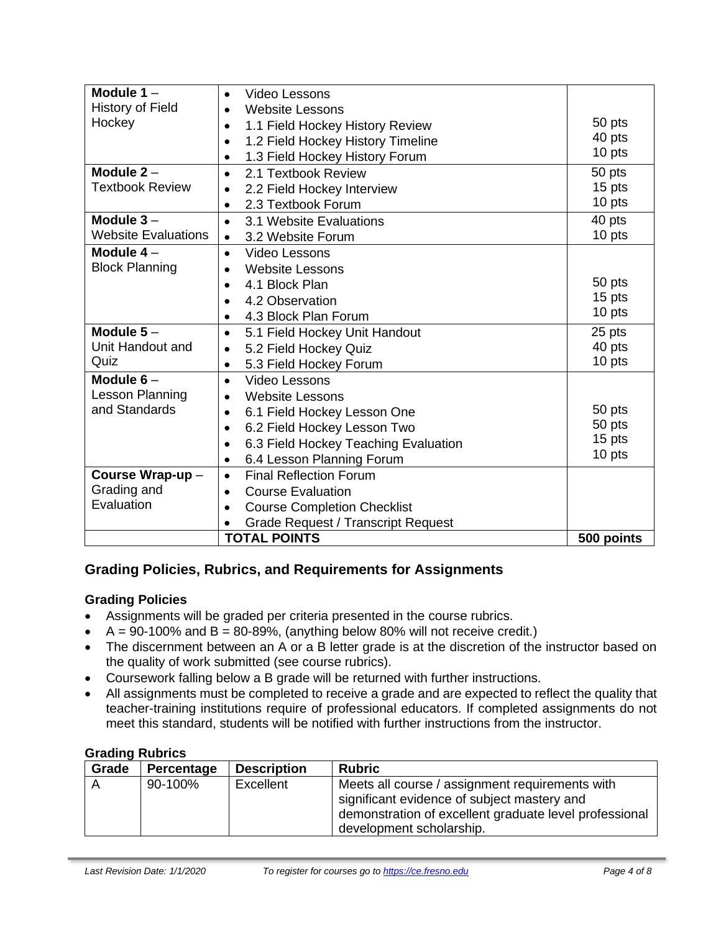| Module $1 -$                                                  | Video Lessons<br>$\bullet$                             |                  |
|---------------------------------------------------------------|--------------------------------------------------------|------------------|
| <b>History of Field</b>                                       | <b>Website Lessons</b><br>$\bullet$                    |                  |
| Hockey                                                        | 1.1 Field Hockey History Review<br>$\bullet$           | 50 pts           |
|                                                               | 1.2 Field Hockey History Timeline<br>$\bullet$         | 40 pts           |
|                                                               | 1.3 Field Hockey History Forum<br>$\bullet$            | 10 pts           |
| Module $2 -$                                                  | 2.1 Textbook Review<br>$\bullet$                       | 50 pts           |
| <b>Textbook Review</b>                                        | 2.2 Field Hockey Interview<br>$\bullet$                | 15 pts           |
|                                                               | 2.3 Textbook Forum<br>$\bullet$                        | 10 pts           |
| Module $3-$                                                   | 3.1 Website Evaluations<br>$\bullet$                   | 40 pts           |
| <b>Website Evaluations</b>                                    | 3.2 Website Forum<br>$\bullet$                         | 10 pts           |
| Module $4-$                                                   | Video Lessons<br>$\bullet$                             |                  |
| <b>Block Planning</b>                                         | <b>Website Lessons</b><br>$\bullet$                    |                  |
|                                                               | 4.1 Block Plan<br>$\bullet$                            | 50 pts           |
|                                                               | 4.2 Observation                                        | 15 pts           |
|                                                               | 4.3 Block Plan Forum                                   | 10 pts           |
| Module $5-$                                                   | 5.1 Field Hockey Unit Handout<br>$\bullet$             | 25 pts<br>40 pts |
| Unit Handout and                                              | 5.2 Field Hockey Quiz<br>$\bullet$                     |                  |
| Quiz                                                          | 5.3 Field Hockey Forum<br>$\bullet$                    | 10 pts           |
| Module $6-$                                                   | Video Lessons<br>$\bullet$                             |                  |
|                                                               | Lesson Planning<br><b>Website Lessons</b><br>$\bullet$ |                  |
| and Standards                                                 | 6.1 Field Hockey Lesson One<br>$\bullet$               | 50 pts           |
|                                                               | 6.2 Field Hockey Lesson Two<br>$\bullet$               | 50 pts           |
|                                                               | 6.3 Field Hockey Teaching Evaluation<br>$\bullet$      | 15 pts           |
|                                                               | 6.4 Lesson Planning Forum<br>٠                         | 10 pts           |
| Course Wrap-up-                                               | <b>Final Reflection Forum</b><br>$\bullet$             |                  |
| Grading and<br><b>Course Evaluation</b><br>$\bullet$          |                                                        |                  |
| Evaluation<br><b>Course Completion Checklist</b><br>$\bullet$ |                                                        |                  |
|                                                               | <b>Grade Request / Transcript Request</b>              |                  |
|                                                               | <b>TOTAL POINTS</b>                                    | 500 points       |

# **Grading Policies, Rubrics, and Requirements for Assignments**

#### **Grading Policies**

- Assignments will be graded per criteria presented in the course rubrics.
- $A = 90-100\%$  and  $B = 80-89\%$ , (anything below 80% will not receive credit.)
- The discernment between an A or a B letter grade is at the discretion of the instructor based on the quality of work submitted (see course rubrics).
- Coursework falling below a B grade will be returned with further instructions.
- All assignments must be completed to receive a grade and are expected to reflect the quality that teacher-training institutions require of professional educators. If completed assignments do not meet this standard, students will be notified with further instructions from the instructor.

# **Grading Rubrics**

| Grade | Percentage | <b>Description</b> | <b>Rubric</b>                                                                                                                                                                        |
|-------|------------|--------------------|--------------------------------------------------------------------------------------------------------------------------------------------------------------------------------------|
|       | 90-100%    | Excellent          | Meets all course / assignment requirements with<br>significant evidence of subject mastery and<br>demonstration of excellent graduate level professional<br>development scholarship. |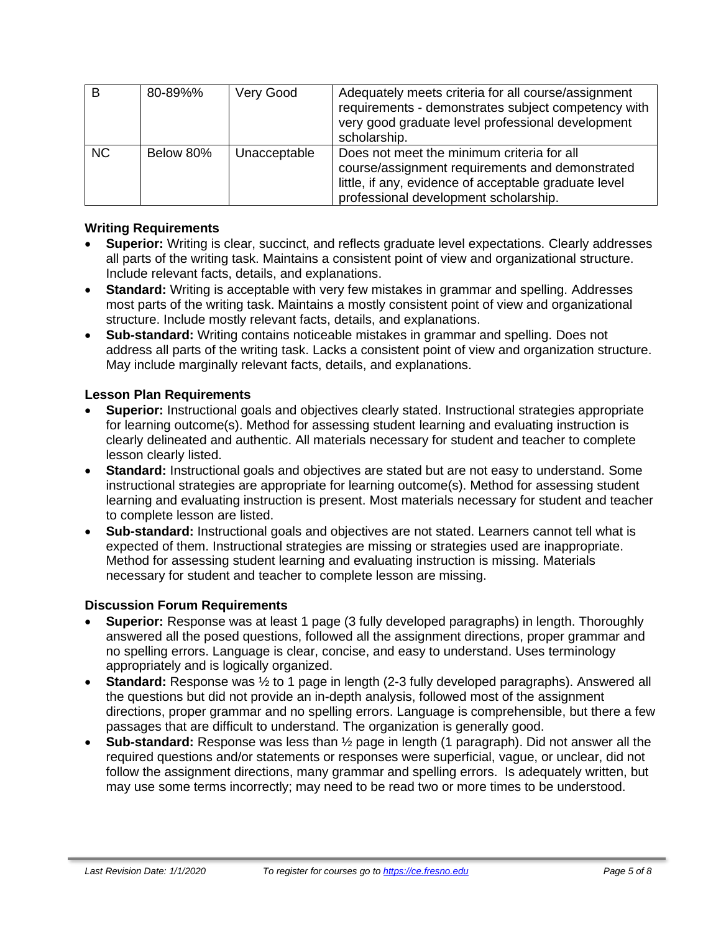| B         | 80-89%%   | Very Good    | Adequately meets criteria for all course/assignment<br>requirements - demonstrates subject competency with<br>very good graduate level professional development<br>scholarship.                 |
|-----------|-----------|--------------|-------------------------------------------------------------------------------------------------------------------------------------------------------------------------------------------------|
| <b>NC</b> | Below 80% | Unacceptable | Does not meet the minimum criteria for all<br>course/assignment requirements and demonstrated<br>little, if any, evidence of acceptable graduate level<br>professional development scholarship. |

#### **Writing Requirements**

- **Superior:** Writing is clear, succinct, and reflects graduate level expectations. Clearly addresses all parts of the writing task. Maintains a consistent point of view and organizational structure. Include relevant facts, details, and explanations.
- **Standard:** Writing is acceptable with very few mistakes in grammar and spelling. Addresses most parts of the writing task. Maintains a mostly consistent point of view and organizational structure. Include mostly relevant facts, details, and explanations.
- **Sub-standard:** Writing contains noticeable mistakes in grammar and spelling. Does not address all parts of the writing task. Lacks a consistent point of view and organization structure. May include marginally relevant facts, details, and explanations.

#### **Lesson Plan Requirements**

- **Superior:** Instructional goals and objectives clearly stated. Instructional strategies appropriate for learning outcome(s). Method for assessing student learning and evaluating instruction is clearly delineated and authentic. All materials necessary for student and teacher to complete lesson clearly listed.
- **Standard:** Instructional goals and objectives are stated but are not easy to understand. Some instructional strategies are appropriate for learning outcome(s). Method for assessing student learning and evaluating instruction is present. Most materials necessary for student and teacher to complete lesson are listed.
- **Sub-standard:** Instructional goals and objectives are not stated. Learners cannot tell what is expected of them. Instructional strategies are missing or strategies used are inappropriate. Method for assessing student learning and evaluating instruction is missing. Materials necessary for student and teacher to complete lesson are missing.

#### **Discussion Forum Requirements**

- **Superior:** Response was at least 1 page (3 fully developed paragraphs) in length. Thoroughly answered all the posed questions, followed all the assignment directions, proper grammar and no spelling errors. Language is clear, concise, and easy to understand. Uses terminology appropriately and is logically organized.
- **Standard:** Response was  $\frac{1}{2}$  to 1 page in length (2-3 fully developed paragraphs). Answered all the questions but did not provide an in-depth analysis, followed most of the assignment directions, proper grammar and no spelling errors. Language is comprehensible, but there a few passages that are difficult to understand. The organization is generally good.
- **Sub-standard:** Response was less than ½ page in length (1 paragraph). Did not answer all the required questions and/or statements or responses were superficial, vague, or unclear, did not follow the assignment directions, many grammar and spelling errors. Is adequately written, but may use some terms incorrectly; may need to be read two or more times to be understood.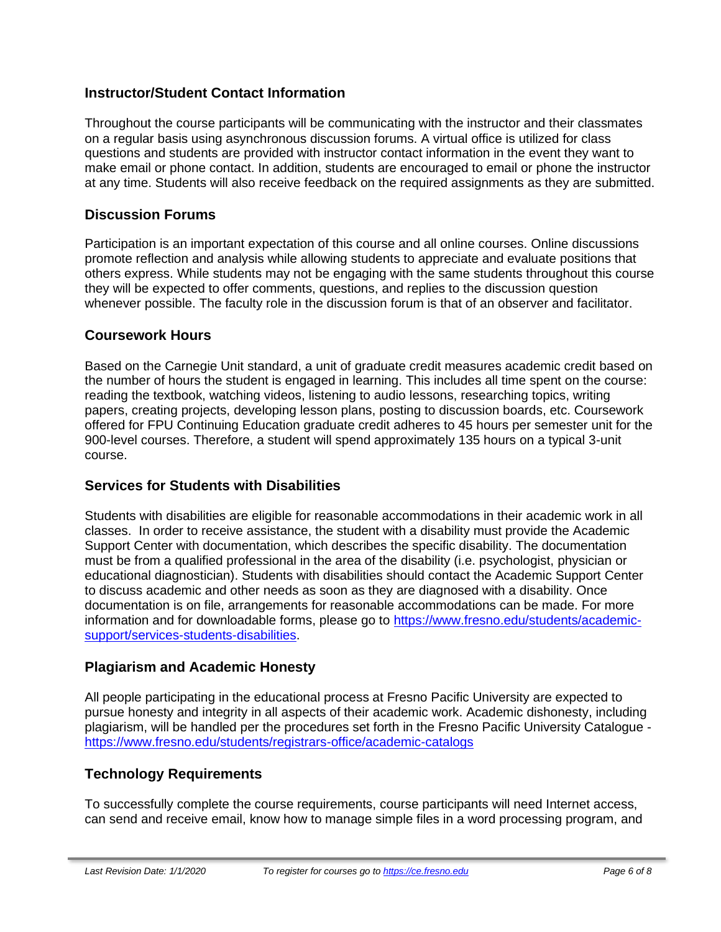# **Instructor/Student Contact Information**

Throughout the course participants will be communicating with the instructor and their classmates on a regular basis using asynchronous discussion forums. A virtual office is utilized for class questions and students are provided with instructor contact information in the event they want to make email or phone contact. In addition, students are encouraged to email or phone the instructor at any time. Students will also receive feedback on the required assignments as they are submitted.

### **Discussion Forums**

Participation is an important expectation of this course and all online courses. Online discussions promote reflection and analysis while allowing students to appreciate and evaluate positions that others express. While students may not be engaging with the same students throughout this course they will be expected to offer comments, questions, and replies to the discussion question whenever possible. The faculty role in the discussion forum is that of an observer and facilitator.

#### **Coursework Hours**

Based on the Carnegie Unit standard, a unit of graduate credit measures academic credit based on the number of hours the student is engaged in learning. This includes all time spent on the course: reading the textbook, watching videos, listening to audio lessons, researching topics, writing papers, creating projects, developing lesson plans, posting to discussion boards, etc. Coursework offered for FPU Continuing Education graduate credit adheres to 45 hours per semester unit for the 900-level courses. Therefore, a student will spend approximately 135 hours on a typical 3-unit course.

# **Services for Students with Disabilities**

Students with disabilities are eligible for reasonable accommodations in their academic work in all classes. In order to receive assistance, the student with a disability must provide the Academic Support Center with documentation, which describes the specific disability. The documentation must be from a qualified professional in the area of the disability (i.e. psychologist, physician or educational diagnostician). Students with disabilities should contact the Academic Support Center to discuss academic and other needs as soon as they are diagnosed with a disability. Once documentation is on file, arrangements for reasonable accommodations can be made. For more information and for downloadable forms, please go to [https://www.fresno.edu/students/academic](https://www.fresno.edu/students/academic-support/services-students-disabilities)[support/services-students-disabilities.](https://www.fresno.edu/students/academic-support/services-students-disabilities)

# **Plagiarism and Academic Honesty**

All people participating in the educational process at Fresno Pacific University are expected to pursue honesty and integrity in all aspects of their academic work. Academic dishonesty, including plagiarism, will be handled per the procedures set forth in the Fresno Pacific University Catalogue <https://www.fresno.edu/students/registrars-office/academic-catalogs>

# **Technology Requirements**

To successfully complete the course requirements, course participants will need Internet access, can send and receive email, know how to manage simple files in a word processing program, and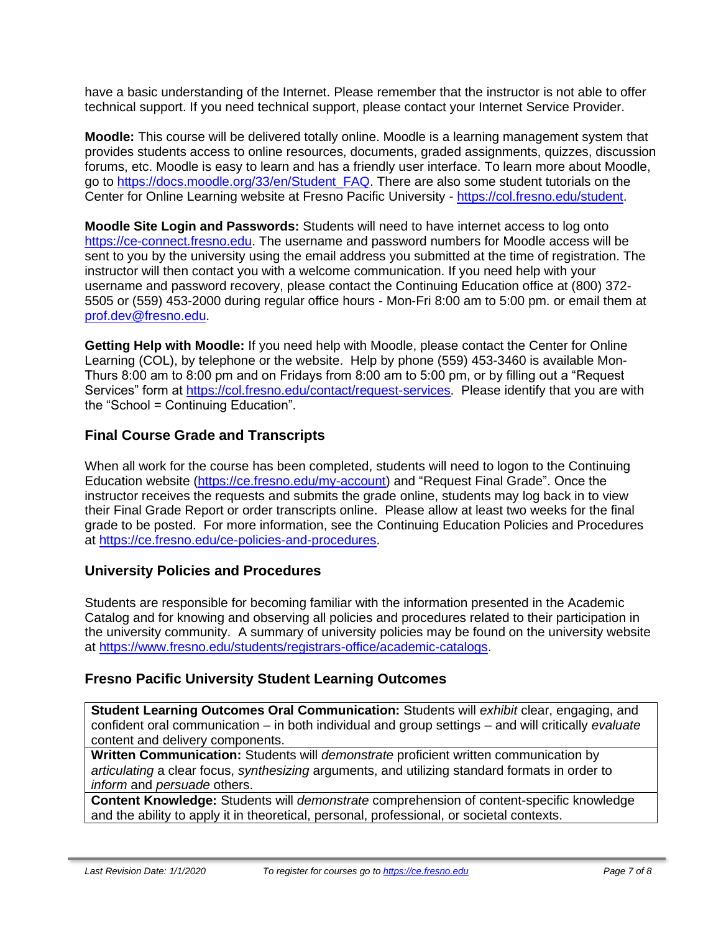have a basic understanding of the Internet. Please remember that the instructor is not able to offer technical support. If you need technical support, please contact your Internet Service Provider.

**Moodle:** This course will be delivered totally online. Moodle is a learning management system that provides students access to online resources, documents, graded assignments, quizzes, discussion forums, etc. Moodle is easy to learn and has a friendly user interface. To learn more about Moodle, go to [https://docs.moodle.org/33/en/Student\\_FAQ.](https://docs.moodle.org/33/en/Student_FAQ) There are also some student tutorials on the Center for Online Learning website at Fresno Pacific University - [https://col.fresno.edu/student.](https://col.fresno.edu/student)

**Moodle Site Login and Passwords:** Students will need to have internet access to log onto [https://ce-connect.fresno.edu.](https://ce-connect.fresno.edu/) The username and password numbers for Moodle access will be sent to you by the university using the email address you submitted at the time of registration. The instructor will then contact you with a welcome communication. If you need help with your username and password recovery, please contact the Continuing Education office at (800) 372- 5505 or (559) 453-2000 during regular office hours - Mon-Fri 8:00 am to 5:00 pm. or email them at [prof.dev@fresno.edu.](mailto:prof.dev@fresno.edu)

**Getting Help with Moodle:** If you need help with Moodle, please contact the Center for Online Learning (COL), by telephone or the website. Help by phone (559) 453-3460 is available Mon-Thurs 8:00 am to 8:00 pm and on Fridays from 8:00 am to 5:00 pm, or by filling out a "Request Services" form at [https://col.fresno.edu/contact/request-services.](https://col.fresno.edu/contact/request-services) Please identify that you are with the "School = Continuing Education".

# **Final Course Grade and Transcripts**

When all work for the course has been completed, students will need to logon to the Continuing Education website [\(https://ce.fresno.edu/my-account\)](https://ce.fresno.edu/my-account) and "Request Final Grade". Once the instructor receives the requests and submits the grade online, students may log back in to view their Final Grade Report or order transcripts online. Please allow at least two weeks for the final grade to be posted. For more information, see the Continuing Education Policies and Procedures at [https://ce.fresno.edu/ce-policies-and-procedures.](https://ce.fresno.edu/ce-policies-and-procedures)

# **University Policies and Procedures**

Students are responsible for becoming familiar with the information presented in the Academic Catalog and for knowing and observing all policies and procedures related to their participation in the university community. A summary of university policies may be found on the university website at [https://www.fresno.edu/students/registrars-office/academic-catalogs.](https://www.fresno.edu/students/registrars-office/academic-catalogs)

# **Fresno Pacific University Student Learning Outcomes**

**Student Learning Outcomes Oral Communication:** Students will *exhibit* clear, engaging, and confident oral communication – in both individual and group settings – and will critically *evaluate*  content and delivery components.

**Written Communication:** Students will *demonstrate* proficient written communication by *articulating* a clear focus, *synthesizing* arguments, and utilizing standard formats in order to *inform* and *persuade* others.

**Content Knowledge:** Students will *demonstrate* comprehension of content-specific knowledge and the ability to apply it in theoretical, personal, professional, or societal contexts.